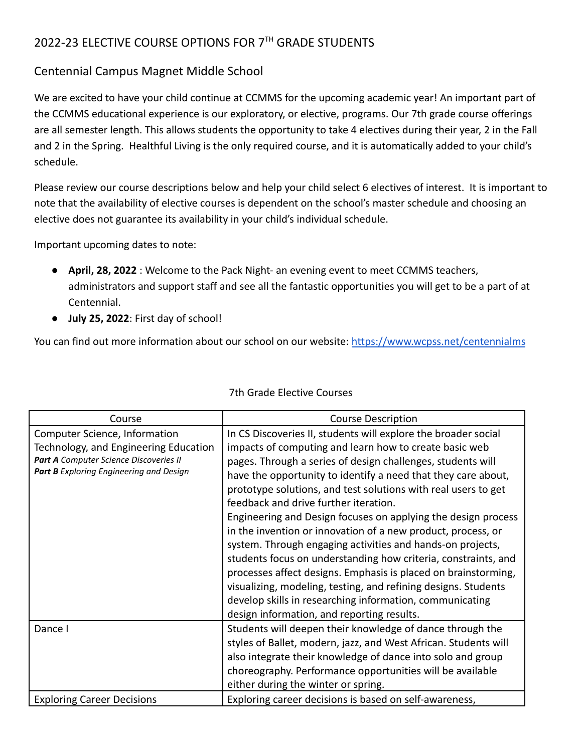## 2022-23 ELECTIVE COURSE OPTIONS FOR 7<sup>TH</sup> GRADE STUDENTS

## Centennial Campus Magnet Middle School

We are excited to have your child continue at CCMMS for the upcoming academic year! An important part of the CCMMS educational experience is our exploratory, or elective, programs. Our 7th grade course offerings are all semester length. This allows students the opportunity to take 4 electives during their year, 2 in the Fall and 2 in the Spring. Healthful Living is the only required course, and it is automatically added to your child's schedule.

Please review our course descriptions below and help your child select 6 electives of interest. It is important to note that the availability of elective courses is dependent on the school's master schedule and choosing an elective does not guarantee its availability in your child's individual schedule.

Important upcoming dates to note:

- **April, 28, 2022** : Welcome to the Pack Night- an evening event to meet CCMMS teachers, administrators and support staff and see all the fantastic opportunities you will get to be a part of at Centennial.
- **July 25, 2022**: First day of school!

You can find out more information about our school on our website: <https://www.wcpss.net/centennialms>

| Course                                  | <b>Course Description</b>                                       |
|-----------------------------------------|-----------------------------------------------------------------|
| Computer Science, Information           | In CS Discoveries II, students will explore the broader social  |
| Technology, and Engineering Education   | impacts of computing and learn how to create basic web          |
| Part A Computer Science Discoveries II  | pages. Through a series of design challenges, students will     |
| Part B Exploring Engineering and Design | have the opportunity to identify a need that they care about,   |
|                                         | prototype solutions, and test solutions with real users to get  |
|                                         | feedback and drive further iteration.                           |
|                                         | Engineering and Design focuses on applying the design process   |
|                                         | in the invention or innovation of a new product, process, or    |
|                                         | system. Through engaging activities and hands-on projects,      |
|                                         | students focus on understanding how criteria, constraints, and  |
|                                         | processes affect designs. Emphasis is placed on brainstorming,  |
|                                         | visualizing, modeling, testing, and refining designs. Students  |
|                                         | develop skills in researching information, communicating        |
|                                         | design information, and reporting results.                      |
| Dance I                                 | Students will deepen their knowledge of dance through the       |
|                                         | styles of Ballet, modern, jazz, and West African. Students will |
|                                         | also integrate their knowledge of dance into solo and group     |
|                                         | choreography. Performance opportunities will be available       |
|                                         | either during the winter or spring.                             |
| <b>Exploring Career Decisions</b>       | Exploring career decisions is based on self-awareness,          |

## 7th Grade Elective Courses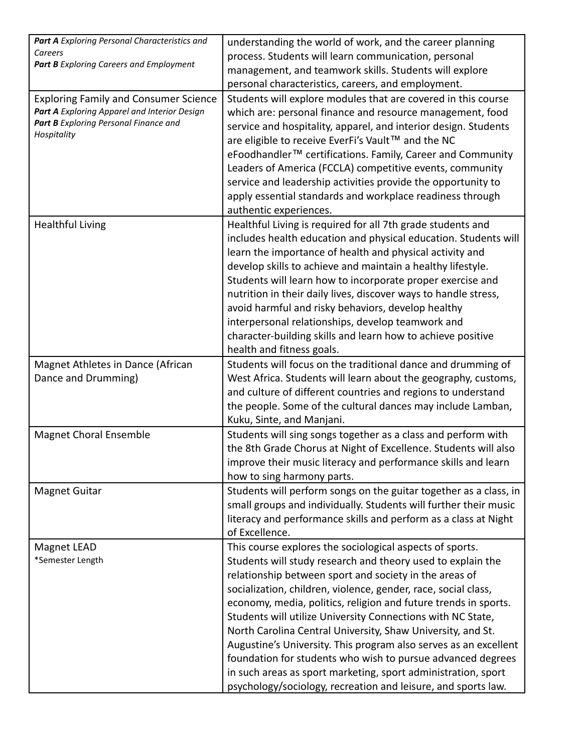| Part A Exploring Personal Characteristics and  | understanding the world of work, and the career planning                                                                       |
|------------------------------------------------|--------------------------------------------------------------------------------------------------------------------------------|
| Careers                                        | process. Students will learn communication, personal                                                                           |
| <b>Part B</b> Exploring Careers and Employment | management, and teamwork skills. Students will explore                                                                         |
|                                                | personal characteristics, careers, and employment.                                                                             |
| <b>Exploring Family and Consumer Science</b>   | Students will explore modules that are covered in this course                                                                  |
| Part A Exploring Apparel and Interior Design   | which are: personal finance and resource management, food                                                                      |
| Part B Exploring Personal Finance and          | service and hospitality, apparel, and interior design. Students                                                                |
| Hospitality                                    | are eligible to receive EverFi's Vault™ and the NC                                                                             |
|                                                | eFoodhandler <sup>™</sup> certifications. Family, Career and Community                                                         |
|                                                | Leaders of America (FCCLA) competitive events, community                                                                       |
|                                                | service and leadership activities provide the opportunity to                                                                   |
|                                                | apply essential standards and workplace readiness through                                                                      |
|                                                | authentic experiences.                                                                                                         |
| <b>Healthful Living</b>                        | Healthful Living is required for all 7th grade students and                                                                    |
|                                                | includes health education and physical education. Students will                                                                |
|                                                | learn the importance of health and physical activity and                                                                       |
|                                                | develop skills to achieve and maintain a healthy lifestyle.                                                                    |
|                                                | Students will learn how to incorporate proper exercise and                                                                     |
|                                                | nutrition in their daily lives, discover ways to handle stress,                                                                |
|                                                | avoid harmful and risky behaviors, develop healthy                                                                             |
|                                                | interpersonal relationships, develop teamwork and                                                                              |
|                                                | character-building skills and learn how to achieve positive                                                                    |
|                                                | health and fitness goals.                                                                                                      |
|                                                |                                                                                                                                |
| Magnet Athletes in Dance (African              | Students will focus on the traditional dance and drumming of<br>West Africa. Students will learn about the geography, customs, |
| Dance and Drumming)                            | and culture of different countries and regions to understand                                                                   |
|                                                |                                                                                                                                |
|                                                | the people. Some of the cultural dances may include Lamban,                                                                    |
|                                                | Kuku, Sinte, and Manjani.                                                                                                      |
| <b>Magnet Choral Ensemble</b>                  | Students will sing songs together as a class and perform with                                                                  |
|                                                | the 8th Grade Chorus at Night of Excellence. Students will also                                                                |
|                                                | improve their music literacy and performance skills and learn                                                                  |
|                                                | how to sing harmony parts.                                                                                                     |
| <b>Magnet Guitar</b>                           | Students will perform songs on the guitar together as a class, in                                                              |
|                                                | small groups and individually. Students will further their music                                                               |
|                                                | literacy and performance skills and perform as a class at Night                                                                |
|                                                | of Excellence.                                                                                                                 |
| Magnet LEAD                                    | This course explores the sociological aspects of sports.                                                                       |
| *Semester Length                               | Students will study research and theory used to explain the                                                                    |
|                                                | relationship between sport and society in the areas of                                                                         |
|                                                | socialization, children, violence, gender, race, social class,                                                                 |
|                                                | economy, media, politics, religion and future trends in sports.                                                                |
|                                                | Students will utilize University Connections with NC State,                                                                    |
|                                                | North Carolina Central University, Shaw University, and St.                                                                    |
|                                                | Augustine's University. This program also serves as an excellent                                                               |
|                                                | foundation for students who wish to pursue advanced degrees                                                                    |
|                                                | in such areas as sport marketing, sport administration, sport                                                                  |
|                                                | psychology/sociology, recreation and leisure, and sports law.                                                                  |